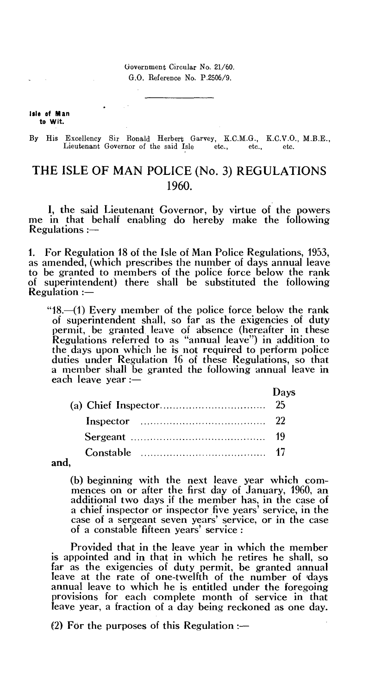Government Circular No. 21/60. G.O. Reference No. P.2506/9.

**isle of Man to Wit.** 

By His Excellency Sir Ronald Herbert Garvey, K.C.M.G., K.C.V.O., M.B.E., Lieutenant Governor of the said Isle etc. etc. etc. Lieutenant Governor of the said Isle etc.,

## THE ISLE OF MAN POLICE (No. 3) REGULATIONS 1960.

I, the said Lieutenant Governor, by virtue of the powers me in that behalf enabling do hereby make the following Regulations :—

1. For Regulation 18 of the Isle of Man Police Regulations, 1953, as amended, (which prescribes the number of days annual leave to be granted to members of the police force below the rank of superintendent) there shall be substituted the following  $Regularian : -$ 

"18.-(1) Every member of the police force below the rank of superintendent shall, so far as the exigencies of duty permit, be granted leave of absence (hereafter in these Regulations referred to as "annual leave") in addition to the days upon which he is not required to perform police duties under Regulation 16 of these Regulations, so that a member shall be granted the following annual leave in each leave year :—

| Days |
|------|
|      |
|      |
|      |
|      |

and,

(b) beginning with the next leave year which commences on or after the first day of January, 1960, an additional two days if the member has, in the case of a chief inspector or inspector five years' service, in the case of a sergeant seven years' service, or in the case of a constable fifteen years' service :

Provided that in the leave year in which the member is appointed and in that in which he retires he shall, so far as the exigencies of duty permit, be granted annual leave at the rate of one-twelfth of the number of days annual leave to which he is entitled under the foregoing provisions for each complete month of service in that leave year, a fraction of a day being reckoned as one day.

(2) For the purposes of this Regulation :—